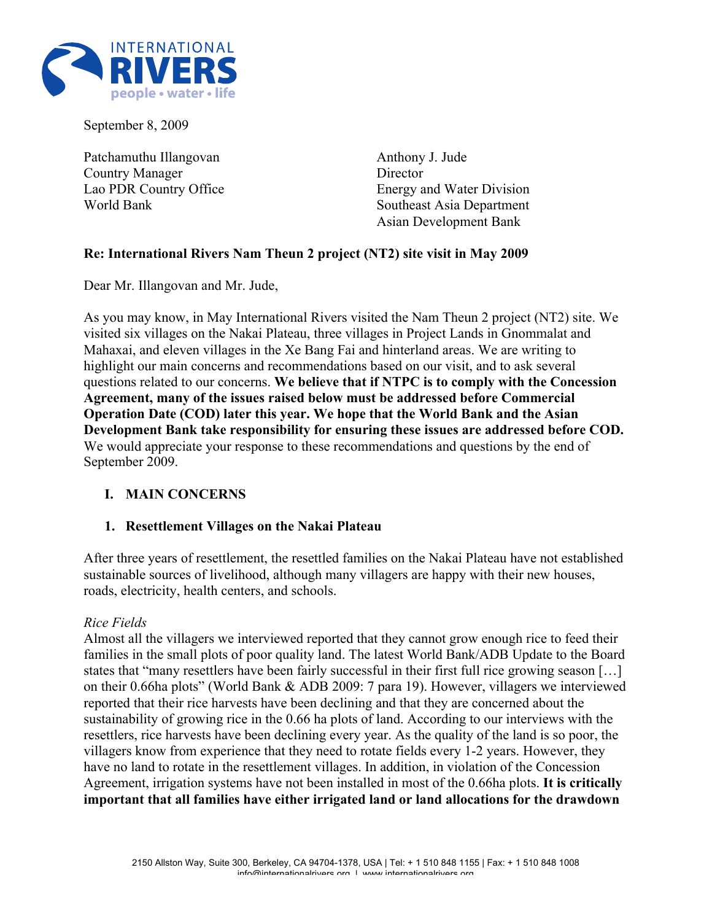

September 8, 2009

Patchamuthu Illangovan Country Manager Lao PDR Country Office World Bank

Anthony J. Jude **Director** Energy and Water Division Southeast Asia Department Asian Development Bank

# **Re: International Rivers Nam Theun 2 project (NT2) site visit in May 2009**

Dear Mr. Illangovan and Mr. Jude,

As you may know, in May International Rivers visited the Nam Theun 2 project (NT2) site. We visited six villages on the Nakai Plateau, three villages in Project Lands in Gnommalat and Mahaxai, and eleven villages in the Xe Bang Fai and hinterland areas. We are writing to highlight our main concerns and recommendations based on our visit, and to ask several questions related to our concerns. **We believe that if NTPC is to comply with the Concession Agreement, many of the issues raised below must be addressed before Commercial Operation Date (COD) later this year. We hope that the World Bank and the Asian Development Bank take responsibility for ensuring these issues are addressed before COD.** We would appreciate your response to these recommendations and questions by the end of September 2009.

#### **I. MAIN CONCERNS**

#### **1. Resettlement Villages on the Nakai Plateau**

After three years of resettlement, the resettled families on the Nakai Plateau have not established sustainable sources of livelihood, although many villagers are happy with their new houses, roads, electricity, health centers, and schools.

#### *Rice Fields*

Almost all the villagers we interviewed reported that they cannot grow enough rice to feed their families in the small plots of poor quality land. The latest World Bank/ADB Update to the Board states that "many resettlers have been fairly successful in their first full rice growing season […] on their 0.66ha plots" (World Bank & ADB 2009: 7 para 19). However, villagers we interviewed reported that their rice harvests have been declining and that they are concerned about the sustainability of growing rice in the 0.66 ha plots of land. According to our interviews with the resettlers, rice harvests have been declining every year. As the quality of the land is so poor, the villagers know from experience that they need to rotate fields every 1-2 years. However, they have no land to rotate in the resettlement villages. In addition, in violation of the Concession Agreement, irrigation systems have not been installed in most of the 0.66ha plots. **It is critically important that all families have either irrigated land or land allocations for the drawdown**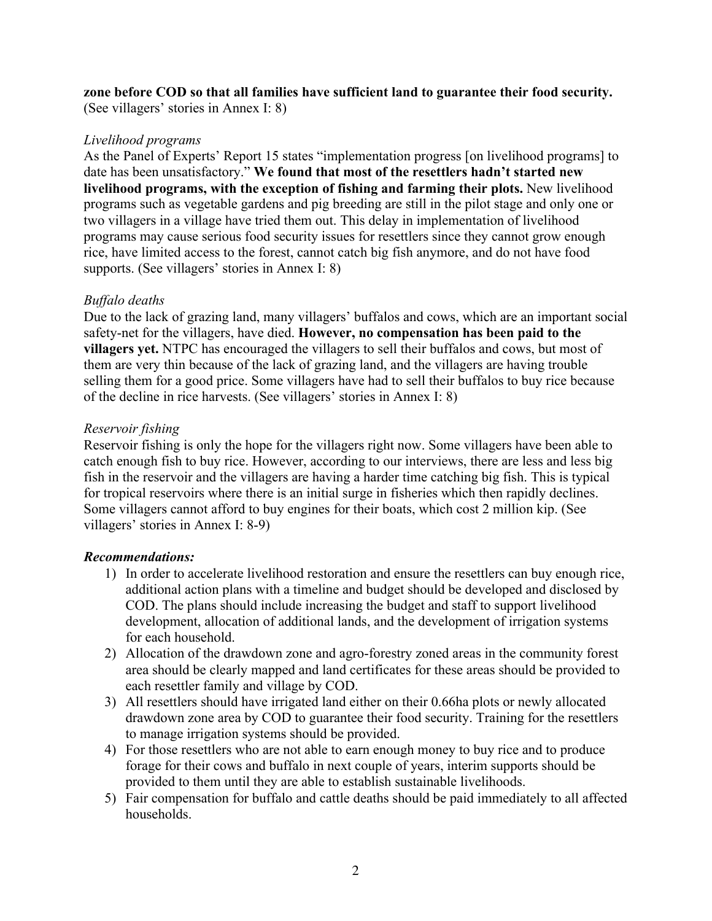**zone before COD so that all families have sufficient land to guarantee their food security.** (See villagers' stories in Annex I: 8)

#### *Livelihood programs*

As the Panel of Experts' Report 15 states "implementation progress [on livelihood programs] to date has been unsatisfactory." **We found that most of the resettlers hadn't started new livelihood programs, with the exception of fishing and farming their plots.** New livelihood programs such as vegetable gardens and pig breeding are still in the pilot stage and only one or two villagers in a village have tried them out. This delay in implementation of livelihood programs may cause serious food security issues for resettlers since they cannot grow enough rice, have limited access to the forest, cannot catch big fish anymore, and do not have food supports. (See villagers' stories in Annex I: 8)

# *Buffalo deaths*

Due to the lack of grazing land, many villagers' buffalos and cows, which are an important social safety-net for the villagers, have died. **However, no compensation has been paid to the villagers yet.** NTPC has encouraged the villagers to sell their buffalos and cows, but most of them are very thin because of the lack of grazing land, and the villagers are having trouble selling them for a good price. Some villagers have had to sell their buffalos to buy rice because of the decline in rice harvests. (See villagers' stories in Annex I: 8)

### *Reservoir fishing*

Reservoir fishing is only the hope for the villagers right now. Some villagers have been able to catch enough fish to buy rice. However, according to our interviews, there are less and less big fish in the reservoir and the villagers are having a harder time catching big fish. This is typical for tropical reservoirs where there is an initial surge in fisheries which then rapidly declines. Some villagers cannot afford to buy engines for their boats, which cost 2 million kip. (See villagers' stories in Annex I: 8-9)

#### *Recommendations:*

- 1) In order to accelerate livelihood restoration and ensure the resettlers can buy enough rice, additional action plans with a timeline and budget should be developed and disclosed by COD. The plans should include increasing the budget and staff to support livelihood development, allocation of additional lands, and the development of irrigation systems for each household.
- 2) Allocation of the drawdown zone and agro-forestry zoned areas in the community forest area should be clearly mapped and land certificates for these areas should be provided to each resettler family and village by COD.
- 3) All resettlers should have irrigated land either on their 0.66ha plots or newly allocated drawdown zone area by COD to guarantee their food security. Training for the resettlers to manage irrigation systems should be provided.
- 4) For those resettlers who are not able to earn enough money to buy rice and to produce forage for their cows and buffalo in next couple of years, interim supports should be provided to them until they are able to establish sustainable livelihoods.
- 5) Fair compensation for buffalo and cattle deaths should be paid immediately to all affected households.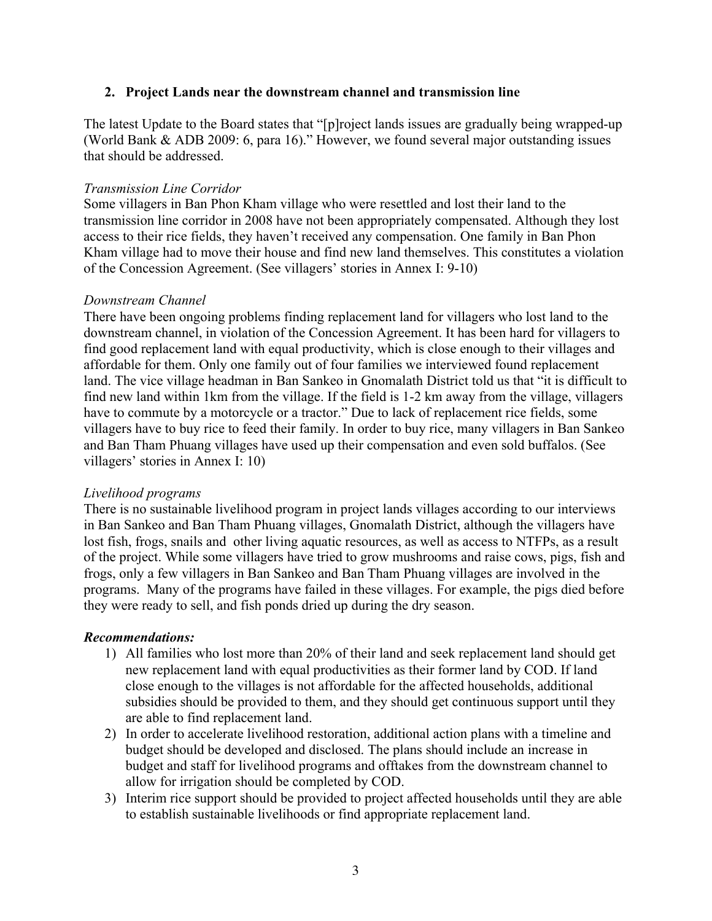#### **2. Project Lands near the downstream channel and transmission line**

The latest Update to the Board states that "[p]roject lands issues are gradually being wrapped-up (World Bank & ADB 2009: 6, para 16)." However, we found several major outstanding issues that should be addressed.

### *Transmission Line Corridor*

Some villagers in Ban Phon Kham village who were resettled and lost their land to the transmission line corridor in 2008 have not been appropriately compensated. Although they lost access to their rice fields, they haven't received any compensation. One family in Ban Phon Kham village had to move their house and find new land themselves. This constitutes a violation of the Concession Agreement. (See villagers' stories in Annex I: 9-10)

### *Downstream Channel*

There have been ongoing problems finding replacement land for villagers who lost land to the downstream channel, in violation of the Concession Agreement. It has been hard for villagers to find good replacement land with equal productivity, which is close enough to their villages and affordable for them. Only one family out of four families we interviewed found replacement land. The vice village headman in Ban Sankeo in Gnomalath District told us that "it is difficult to find new land within 1km from the village. If the field is 1-2 km away from the village, villagers have to commute by a motorcycle or a tractor." Due to lack of replacement rice fields, some villagers have to buy rice to feed their family. In order to buy rice, many villagers in Ban Sankeo and Ban Tham Phuang villages have used up their compensation and even sold buffalos. (See villagers' stories in Annex I: 10)

#### *Livelihood programs*

There is no sustainable livelihood program in project lands villages according to our interviews in Ban Sankeo and Ban Tham Phuang villages, Gnomalath District, although the villagers have lost fish, frogs, snails and other living aquatic resources, as well as access to NTFPs, as a result of the project. While some villagers have tried to grow mushrooms and raise cows, pigs, fish and frogs, only a few villagers in Ban Sankeo and Ban Tham Phuang villages are involved in the programs. Many of the programs have failed in these villages. For example, the pigs died before they were ready to sell, and fish ponds dried up during the dry season.

#### *Recommendations:*

- 1) All families who lost more than 20% of their land and seek replacement land should get new replacement land with equal productivities as their former land by COD. If land close enough to the villages is not affordable for the affected households, additional subsidies should be provided to them, and they should get continuous support until they are able to find replacement land.
- 2) In order to accelerate livelihood restoration, additional action plans with a timeline and budget should be developed and disclosed. The plans should include an increase in budget and staff for livelihood programs and offtakes from the downstream channel to allow for irrigation should be completed by COD.
- 3) Interim rice support should be provided to project affected households until they are able to establish sustainable livelihoods or find appropriate replacement land.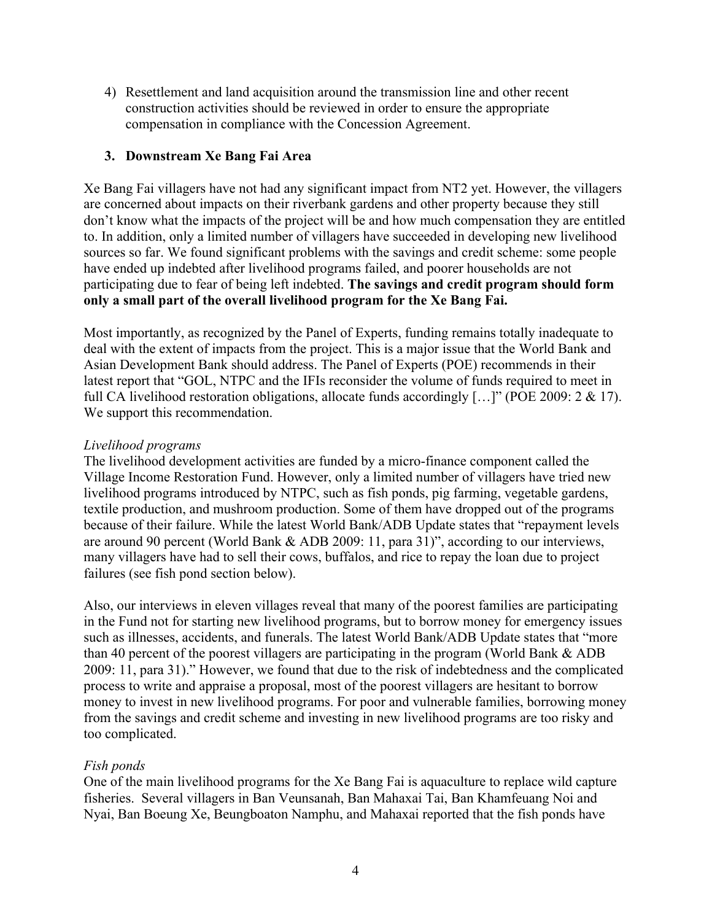4) Resettlement and land acquisition around the transmission line and other recent construction activities should be reviewed in order to ensure the appropriate compensation in compliance with the Concession Agreement.

### **3. Downstream Xe Bang Fai Area**

Xe Bang Fai villagers have not had any significant impact from NT2 yet. However, the villagers are concerned about impacts on their riverbank gardens and other property because they still don't know what the impacts of the project will be and how much compensation they are entitled to. In addition, only a limited number of villagers have succeeded in developing new livelihood sources so far. We found significant problems with the savings and credit scheme: some people have ended up indebted after livelihood programs failed, and poorer households are not participating due to fear of being left indebted. **The savings and credit program should form only a small part of the overall livelihood program for the Xe Bang Fai.**

Most importantly, as recognized by the Panel of Experts, funding remains totally inadequate to deal with the extent of impacts from the project. This is a major issue that the World Bank and Asian Development Bank should address. The Panel of Experts (POE) recommends in their latest report that "GOL, NTPC and the IFIs reconsider the volume of funds required to meet in full CA livelihood restoration obligations, allocate funds accordingly […]" (POE 2009: 2 & 17). We support this recommendation.

#### *Livelihood programs*

The livelihood development activities are funded by a micro-finance component called the Village Income Restoration Fund. However, only a limited number of villagers have tried new livelihood programs introduced by NTPC, such as fish ponds, pig farming, vegetable gardens, textile production, and mushroom production. Some of them have dropped out of the programs because of their failure. While the latest World Bank/ADB Update states that "repayment levels are around 90 percent (World Bank & ADB 2009: 11, para 31)", according to our interviews, many villagers have had to sell their cows, buffalos, and rice to repay the loan due to project failures (see fish pond section below).

Also, our interviews in eleven villages reveal that many of the poorest families are participating in the Fund not for starting new livelihood programs, but to borrow money for emergency issues such as illnesses, accidents, and funerals. The latest World Bank/ADB Update states that "more than 40 percent of the poorest villagers are participating in the program (World Bank & ADB 2009: 11, para 31)." However, we found that due to the risk of indebtedness and the complicated process to write and appraise a proposal, most of the poorest villagers are hesitant to borrow money to invest in new livelihood programs. For poor and vulnerable families, borrowing money from the savings and credit scheme and investing in new livelihood programs are too risky and too complicated.

#### *Fish ponds*

One of the main livelihood programs for the Xe Bang Fai is aquaculture to replace wild capture fisheries. Several villagers in Ban Veunsanah, Ban Mahaxai Tai, Ban Khamfeuang Noi and Nyai, Ban Boeung Xe, Beungboaton Namphu, and Mahaxai reported that the fish ponds have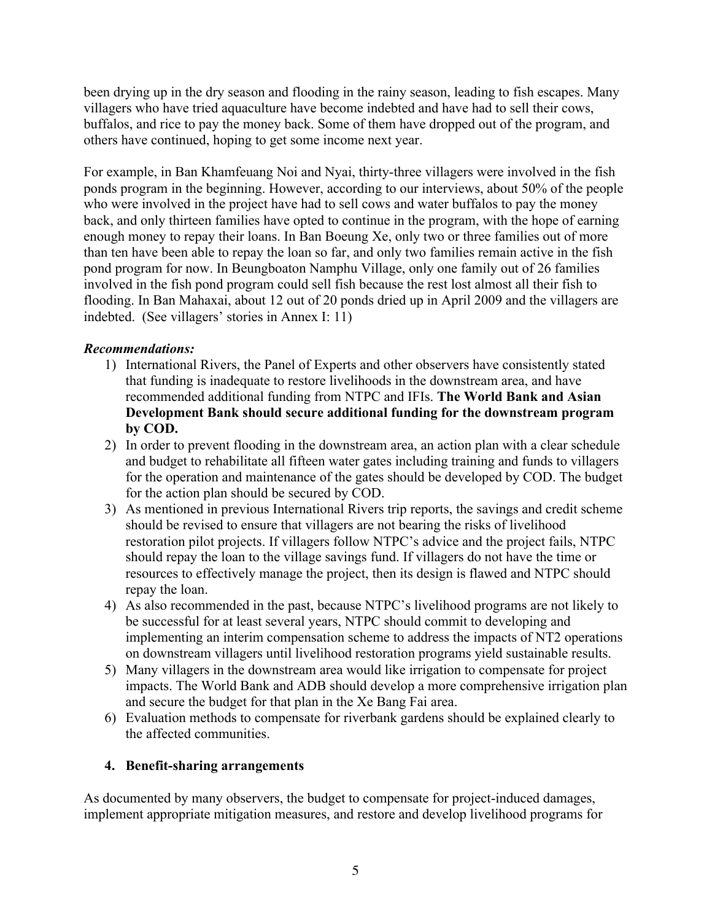been drying up in the dry season and flooding in the rainy season, leading to fish escapes. Many villagers who have tried aquaculture have become indebted and have had to sell their cows, buffalos, and rice to pay the money back. Some of them have dropped out of the program, and others have continued, hoping to get some income next year.

For example, in Ban Khamfeuang Noi and Nyai, thirty-three villagers were involved in the fish ponds program in the beginning. However, according to our interviews, about 50% of the people who were involved in the project have had to sell cows and water buffalos to pay the money back, and only thirteen families have opted to continue in the program, with the hope of earning enough money to repay their loans. In Ban Boeung Xe, only two or three families out of more than ten have been able to repay the loan so far, and only two families remain active in the fish pond program for now. In Beungboaton Namphu Village, only one family out of 26 families involved in the fish pond program could sell fish because the rest lost almost all their fish to flooding. In Ban Mahaxai, about 12 out of 20 ponds dried up in April 2009 and the villagers are indebted. (See villagers' stories in Annex I: 11)

# *Recommendations:*

- 1) International Rivers, the Panel of Experts and other observers have consistently stated that funding is inadequate to restore livelihoods in the downstream area, and have recommended additional funding from NTPC and IFIs. **The World Bank and Asian Development Bank should secure additional funding for the downstream program by COD.**
- 2) In order to prevent flooding in the downstream area, an action plan with a clear schedule and budget to rehabilitate all fifteen water gates including training and funds to villagers for the operation and maintenance of the gates should be developed by COD. The budget for the action plan should be secured by COD.
- 3) As mentioned in previous International Rivers trip reports, the savings and credit scheme should be revised to ensure that villagers are not bearing the risks of livelihood restoration pilot projects. If villagers follow NTPC's advice and the project fails, NTPC should repay the loan to the village savings fund. If villagers do not have the time or resources to effectively manage the project, then its design is flawed and NTPC should repay the loan.
- 4) As also recommended in the past, because NTPC's livelihood programs are not likely to be successful for at least several years, NTPC should commit to developing and implementing an interim compensation scheme to address the impacts of NT2 operations on downstream villagers until livelihood restoration programs yield sustainable results.
- 5) Many villagers in the downstream area would like irrigation to compensate for project impacts. The World Bank and ADB should develop a more comprehensive irrigation plan and secure the budget for that plan in the Xe Bang Fai area.
- 6) Evaluation methods to compensate for riverbank gardens should be explained clearly to the affected communities.

# **4. Benefit-sharing arrangements**

As documented by many observers, the budget to compensate for project-induced damages, implement appropriate mitigation measures, and restore and develop livelihood programs for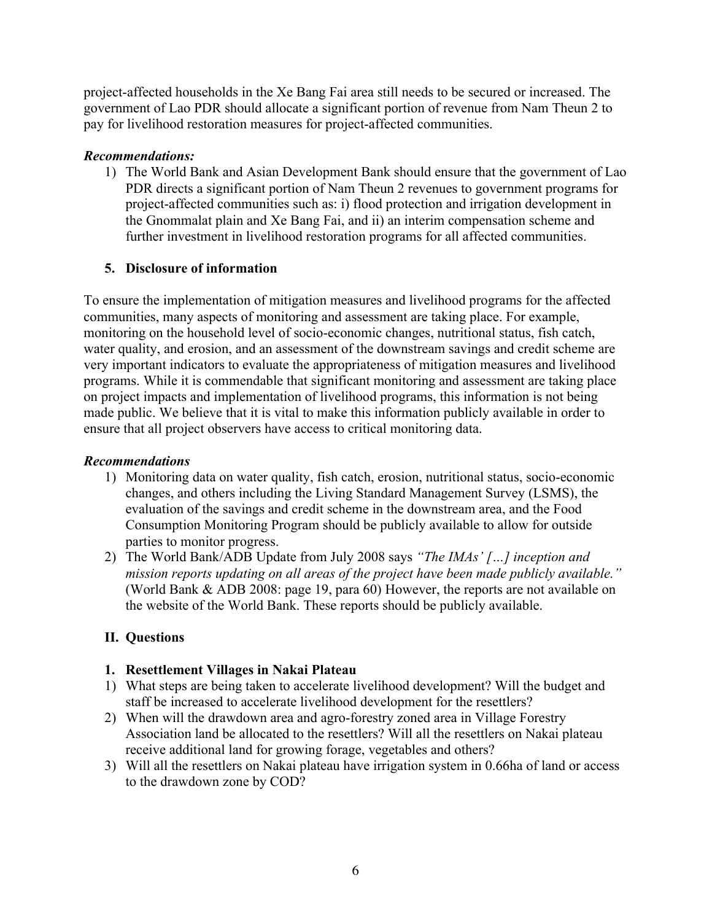project-affected households in the Xe Bang Fai area still needs to be secured or increased. The government of Lao PDR should allocate a significant portion of revenue from Nam Theun 2 to pay for livelihood restoration measures for project-affected communities.

### *Recommendations:*

1) The World Bank and Asian Development Bank should ensure that the government of Lao PDR directs a significant portion of Nam Theun 2 revenues to government programs for project-affected communities such as: i) flood protection and irrigation development in the Gnommalat plain and Xe Bang Fai, and ii) an interim compensation scheme and further investment in livelihood restoration programs for all affected communities.

# **5. Disclosure of information**

To ensure the implementation of mitigation measures and livelihood programs for the affected communities, many aspects of monitoring and assessment are taking place. For example, monitoring on the household level of socio-economic changes, nutritional status, fish catch, water quality, and erosion, and an assessment of the downstream savings and credit scheme are very important indicators to evaluate the appropriateness of mitigation measures and livelihood programs. While it is commendable that significant monitoring and assessment are taking place on project impacts and implementation of livelihood programs, this information is not being made public. We believe that it is vital to make this information publicly available in order to ensure that all project observers have access to critical monitoring data.

### *Recommendations*

- 1) Monitoring data on water quality, fish catch, erosion, nutritional status, socio-economic changes, and others including the Living Standard Management Survey (LSMS), the evaluation of the savings and credit scheme in the downstream area, and the Food Consumption Monitoring Program should be publicly available to allow for outside parties to monitor progress.
- 2) The World Bank/ADB Update from July 2008 says *"The IMAs' […] inception and mission reports updating on all areas of the project have been made publicly available."* (World Bank & ADB 2008: page 19, para 60) However, the reports are not available on the website of the World Bank. These reports should be publicly available.

# **II. Questions**

# **1. Resettlement Villages in Nakai Plateau**

- 1) What steps are being taken to accelerate livelihood development? Will the budget and staff be increased to accelerate livelihood development for the resettlers?
- 2) When will the drawdown area and agro-forestry zoned area in Village Forestry Association land be allocated to the resettlers? Will all the resettlers on Nakai plateau receive additional land for growing forage, vegetables and others?
- 3) Will all the resettlers on Nakai plateau have irrigation system in 0.66ha of land or access to the drawdown zone by COD?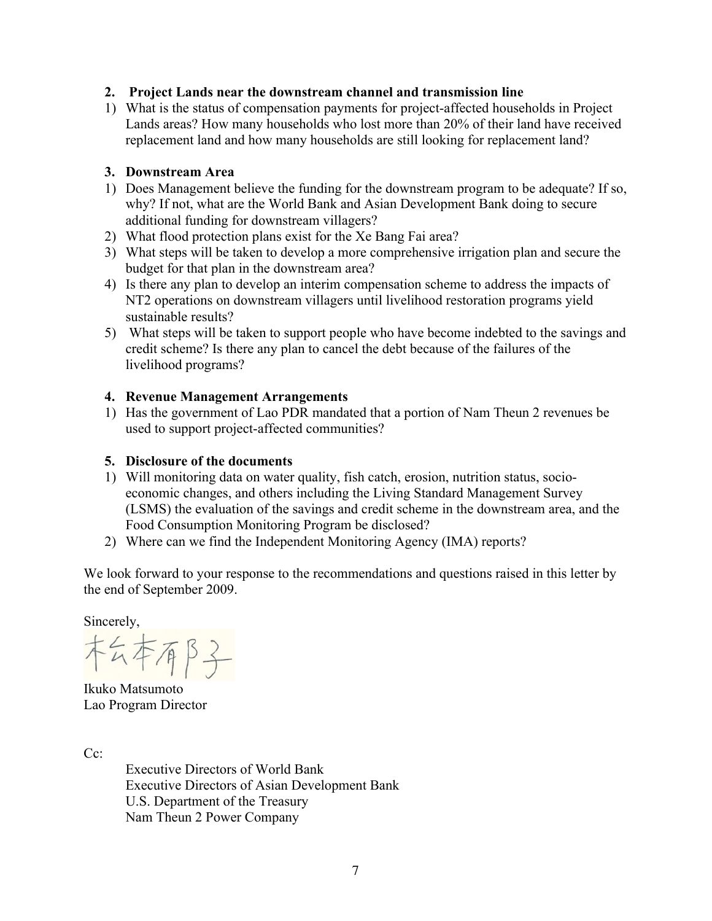# **2. Project Lands near the downstream channel and transmission line**

1) What is the status of compensation payments for project-affected households in Project Lands areas? How many households who lost more than 20% of their land have received replacement land and how many households are still looking for replacement land?

### **3. Downstream Area**

- 1) Does Management believe the funding for the downstream program to be adequate? If so, why? If not, what are the World Bank and Asian Development Bank doing to secure additional funding for downstream villagers?
- 2) What flood protection plans exist for the Xe Bang Fai area?
- 3) What steps will be taken to develop a more comprehensive irrigation plan and secure the budget for that plan in the downstream area?
- 4) Is there any plan to develop an interim compensation scheme to address the impacts of NT2 operations on downstream villagers until livelihood restoration programs yield sustainable results?
- 5) What steps will be taken to support people who have become indebted to the savings and credit scheme? Is there any plan to cancel the debt because of the failures of the livelihood programs?

### **4. Revenue Management Arrangements**

1) Has the government of Lao PDR mandated that a portion of Nam Theun 2 revenues be used to support project-affected communities?

### **5. Disclosure of the documents**

- 1) Will monitoring data on water quality, fish catch, erosion, nutrition status, socioeconomic changes, and others including the Living Standard Management Survey (LSMS) the evaluation of the savings and credit scheme in the downstream area, and the Food Consumption Monitoring Program be disclosed?
- 2) Where can we find the Independent Monitoring Agency (IMA) reports?

We look forward to your response to the recommendations and questions raised in this letter by the end of September 2009.

Sincerely,

SA本有B子

Ikuko Matsumoto Lao Program Director

Cc:

Executive Directors of World Bank Executive Directors of Asian Development Bank U.S. Department of the Treasury Nam Theun 2 Power Company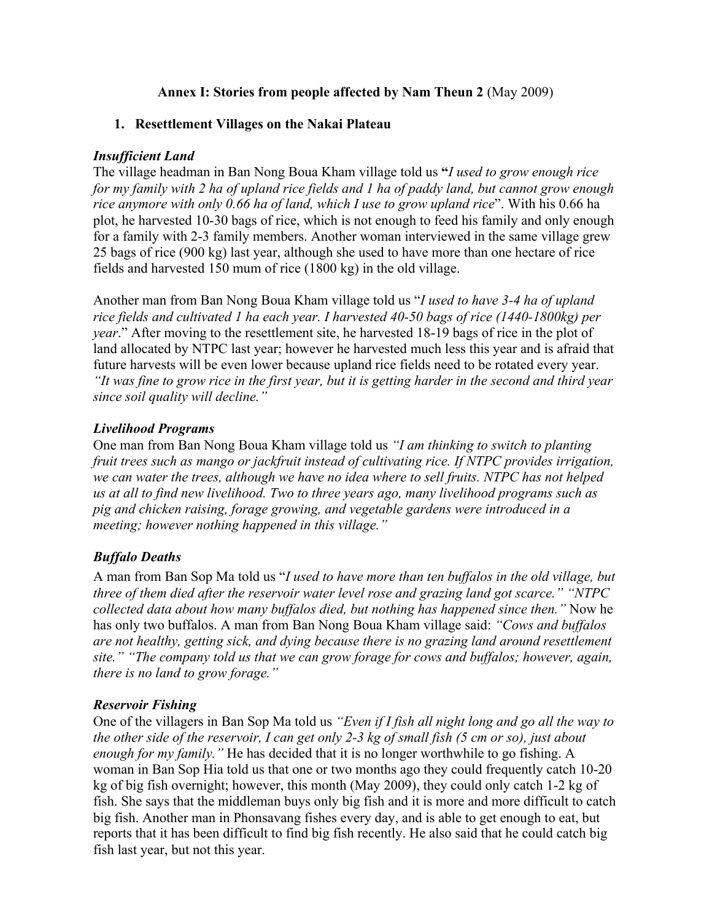# **Annex I: Stories from people affected by Nam Theun 2** (May 2009)

# **1. Resettlement Villages on the Nakai Plateau**

# *Insufficient Land*

The village headman in Ban Nong Boua Kham village told us **"***I used to grow enough rice for my family with 2 ha of upland rice fields and 1 ha of paddy land, but cannot grow enough rice anymore with only 0.66 ha of land, which I use to grow upland rice*". With his 0.66 ha plot, he harvested 10-30 bags of rice, which is not enough to feed his family and only enough for a family with 2-3 family members. Another woman interviewed in the same village grew 25 bags of rice (900 kg) last year, although she used to have more than one hectare of rice fields and harvested 150 mum of rice (1800 kg) in the old village.

Another man from Ban Nong Boua Kham village told us "*I used to have 3-4 ha of upland rice fields and cultivated 1 ha each year. I harvested 40-50 bags of rice (1440-1800kg) per year*." After moving to the resettlement site, he harvested 18-19 bags of rice in the plot of land allocated by NTPC last year; however he harvested much less this year and is afraid that future harvests will be even lower because upland rice fields need to be rotated every year. *"It was fine to grow rice in the first year, but it is getting harder in the second and third year since soil quality will decline."*

# *Livelihood Programs*

One man from Ban Nong Boua Kham village told us *"I am thinking to switch to planting fruit trees such as mango or jackfruit instead of cultivating rice. If NTPC provides irrigation, we can water the trees, although we have no idea where to sell fruits. NTPC has not helped us at all to find new livelihood. Two to three years ago, many livelihood programs such as pig and chicken raising, forage growing, and vegetable gardens were introduced in a meeting; however nothing happened in this village."*

# *Buffalo Deaths*

A man from Ban Sop Ma told us "*I used to have more than ten buffalos in the old village, but three of them died after the reservoir water level rose and grazing land got scarce." "NTPC collected data about how many buffalos died, but nothing has happened since then."* Now he has only two buffalos. A man from Ban Nong Boua Kham village said: *"Cows and buffalos are not healthy, getting sick, and dying because there is no grazing land around resettlement site." "The company told us that we can grow forage for cows and buffalos; however, again, there is no land to grow forage."*

# *Reservoir Fishing*

One of the villagers in Ban Sop Ma told us *"Even if I fish all night long and go all the way to the other side of the reservoir, I can get only 2-3 kg of small fish (5 cm or so), just about enough for my family."* He has decided that it is no longer worthwhile to go fishing. A woman in Ban Sop Hia told us that one or two months ago they could frequently catch 10-20 kg of big fish overnight; however, this month (May 2009), they could only catch 1-2 kg of fish. She says that the middleman buys only big fish and it is more and more difficult to catch big fish. Another man in Phonsavang fishes every day, and is able to get enough to eat, but reports that it has been difficult to find big fish recently. He also said that he could catch big fish last year, but not this year.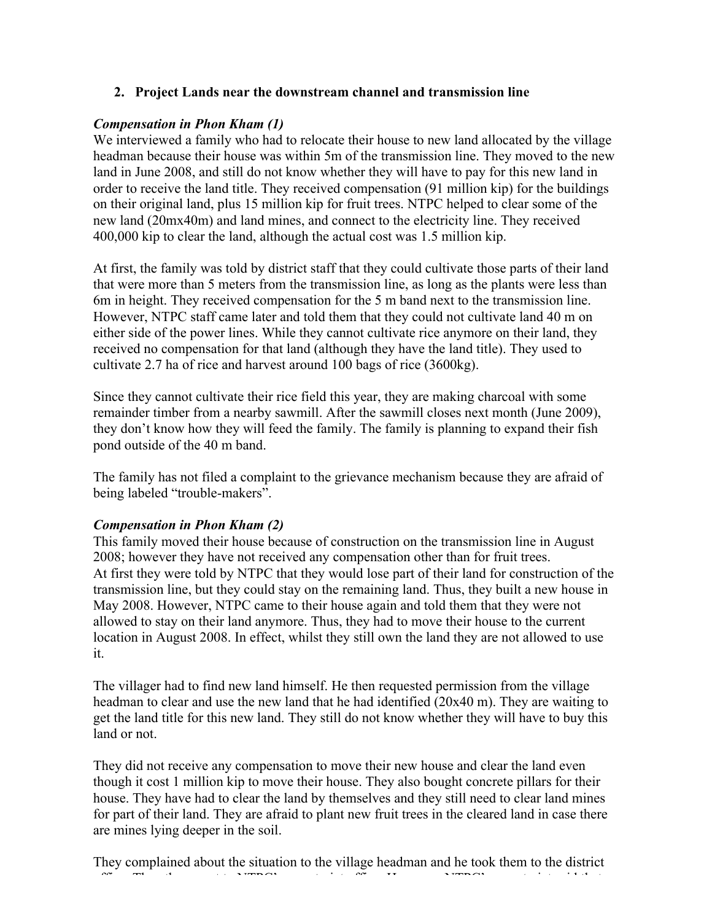### **2. Project Lands near the downstream channel and transmission line**

### *Compensation in Phon Kham (1)*

We interviewed a family who had to relocate their house to new land allocated by the village headman because their house was within 5m of the transmission line. They moved to the new land in June 2008, and still do not know whether they will have to pay for this new land in order to receive the land title. They received compensation (91 million kip) for the buildings on their original land, plus 15 million kip for fruit trees. NTPC helped to clear some of the new land (20mx40m) and land mines, and connect to the electricity line. They received 400,000 kip to clear the land, although the actual cost was 1.5 million kip.

At first, the family was told by district staff that they could cultivate those parts of their land that were more than 5 meters from the transmission line, as long as the plants were less than 6m in height. They received compensation for the 5 m band next to the transmission line. However, NTPC staff came later and told them that they could not cultivate land 40 m on either side of the power lines. While they cannot cultivate rice anymore on their land, they received no compensation for that land (although they have the land title). They used to cultivate 2.7 ha of rice and harvest around 100 bags of rice (3600kg).

Since they cannot cultivate their rice field this year, they are making charcoal with some remainder timber from a nearby sawmill. After the sawmill closes next month (June 2009), they don't know how they will feed the family. The family is planning to expand their fish pond outside of the 40 m band.

The family has not filed a complaint to the grievance mechanism because they are afraid of being labeled "trouble-makers".

#### *Compensation in Phon Kham (2)*

This family moved their house because of construction on the transmission line in August 2008; however they have not received any compensation other than for fruit trees. At first they were told by NTPC that they would lose part of their land for construction of the transmission line, but they could stay on the remaining land. Thus, they built a new house in May 2008. However, NTPC came to their house again and told them that they were not allowed to stay on their land anymore. Thus, they had to move their house to the current location in August 2008. In effect, whilst they still own the land they are not allowed to use it.

The villager had to find new land himself. He then requested permission from the village headman to clear and use the new land that he had identified (20x40 m). They are waiting to get the land title for this new land. They still do not know whether they will have to buy this land or not.

They did not receive any compensation to move their new house and clear the land even though it cost 1 million kip to move their house. They also bought concrete pillars for their house. They have had to clear the land by themselves and they still need to clear land mines for part of their land. They are afraid to plant new fruit trees in the cleared land in case there are mines lying deeper in the soil.

They complained about the situation to the village headman and he took them to the district office. The secretariat of  $\alpha$  second to  $\alpha$  second that said that said that said that said that said that said that said that said that said that  $\alpha$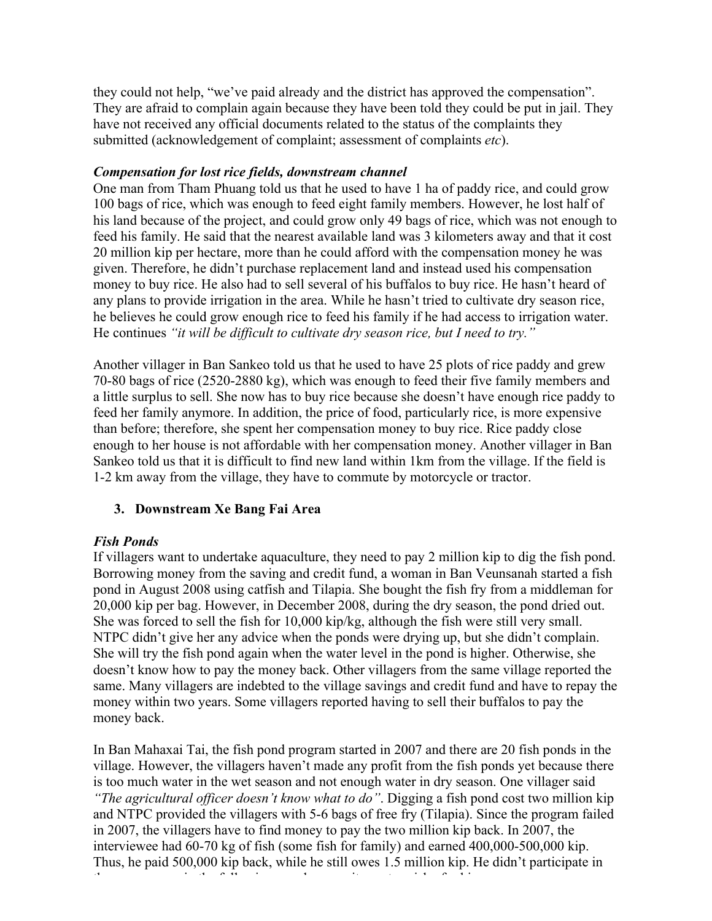they could not help, "we've paid already and the district has approved the compensation". They are afraid to complain again because they have been told they could be put in jail. They have not received any official documents related to the status of the complaints they submitted (acknowledgement of complaint; assessment of complaints *etc*).

### *Compensation for lost rice fields, downstream channel*

One man from Tham Phuang told us that he used to have 1 ha of paddy rice, and could grow 100 bags of rice, which was enough to feed eight family members. However, he lost half of his land because of the project, and could grow only 49 bags of rice, which was not enough to feed his family. He said that the nearest available land was 3 kilometers away and that it cost 20 million kip per hectare, more than he could afford with the compensation money he was given. Therefore, he didn't purchase replacement land and instead used his compensation money to buy rice. He also had to sell several of his buffalos to buy rice. He hasn't heard of any plans to provide irrigation in the area. While he hasn't tried to cultivate dry season rice, he believes he could grow enough rice to feed his family if he had access to irrigation water. He continues *"it will be difficult to cultivate dry season rice, but I need to try."*

Another villager in Ban Sankeo told us that he used to have 25 plots of rice paddy and grew 70-80 bags of rice (2520-2880 kg), which was enough to feed their five family members and a little surplus to sell. She now has to buy rice because she doesn't have enough rice paddy to feed her family anymore. In addition, the price of food, particularly rice, is more expensive than before; therefore, she spent her compensation money to buy rice. Rice paddy close enough to her house is not affordable with her compensation money. Another villager in Ban Sankeo told us that it is difficult to find new land within 1km from the village. If the field is 1-2 km away from the village, they have to commute by motorcycle or tractor.

# **3. Downstream Xe Bang Fai Area**

# *Fish Ponds*

If villagers want to undertake aquaculture, they need to pay 2 million kip to dig the fish pond. Borrowing money from the saving and credit fund, a woman in Ban Veunsanah started a fish pond in August 2008 using catfish and Tilapia. She bought the fish fry from a middleman for 20,000 kip per bag. However, in December 2008, during the dry season, the pond dried out. She was forced to sell the fish for 10,000 kip/kg, although the fish were still very small. NTPC didn't give her any advice when the ponds were drying up, but she didn't complain. She will try the fish pond again when the water level in the pond is higher. Otherwise, she doesn't know how to pay the money back. Other villagers from the same village reported the same. Many villagers are indebted to the village savings and credit fund and have to repay the money within two years. Some villagers reported having to sell their buffalos to pay the money back.

In Ban Mahaxai Tai, the fish pond program started in 2007 and there are 20 fish ponds in the village. However, the villagers haven't made any profit from the fish ponds yet because there is too much water in the wet season and not enough water in dry season. One villager said *"The agricultural officer doesn't know what to do"*. Digging a fish pond cost two million kip and NTPC provided the villagers with 5-6 bags of free fry (Tilapia). Since the program failed in 2007, the villagers have to find money to pay the two million kip back. In 2007, the interviewee had 60-70 kg of fish (some fish for family) and earned 400,000-500,000 kip. Thus, he paid 500,000 kip back, while he still owes 1.5 million kip. He didn't participate in the program again the following year because it was too risky for him.